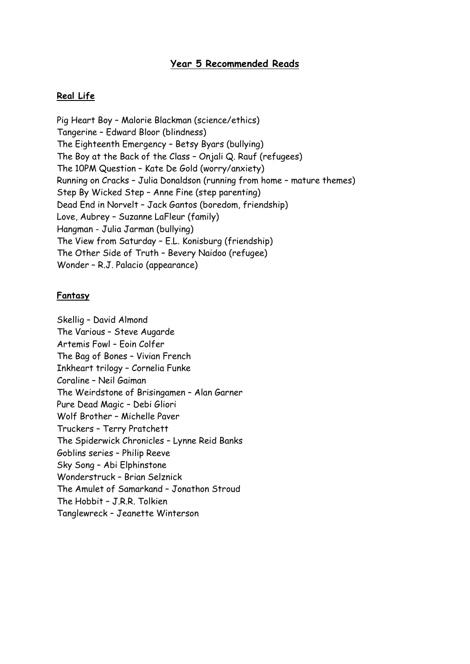# Year 5 Recommended Reads

## Real Life

Pig Heart Boy – Malorie Blackman (science/ethics) Tangerine – Edward Bloor (blindness) The Eighteenth Emergency – Betsy Byars (bullying) The Boy at the Back of the Class – Onjali Q. Rauf (refugees) The 10PM Question – Kate De Gold (worry/anxiety) Running on Cracks – Julia Donaldson (running from home – mature themes) Step By Wicked Step – Anne Fine (step parenting) Dead End in Norvelt – Jack Gantos (boredom, friendship) Love, Aubrey – Suzanne LaFleur (family) Hangman - Julia Jarman (bullying) The View from Saturday – E.L. Konisburg (friendship) The Other Side of Truth – Bevery Naidoo (refugee) Wonder – R.J. Palacio (appearance)

#### Fantasy

Skellig – David Almond The Various – Steve Augarde Artemis Fowl – Eoin Colfer The Bag of Bones – Vivian French Inkheart trilogy – Cornelia Funke Coraline – Neil Gaiman The Weirdstone of Brisingamen – Alan Garner Pure Dead Magic – Debi Gliori Wolf Brother – Michelle Paver Truckers – Terry Pratchett The Spiderwick Chronicles – Lynne Reid Banks Goblins series – Philip Reeve Sky Song – Abi Elphinstone Wonderstruck – Brian Selznick The Amulet of Samarkand – Jonathon Stroud The Hobbit – J.R.R. Tolkien Tanglewreck – Jeanette Winterson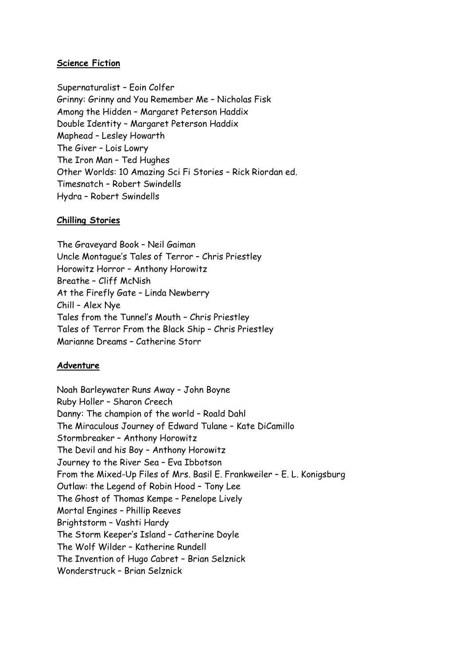# Science Fiction

Supernaturalist – Eoin Colfer Grinny: Grinny and You Remember Me – Nicholas Fisk Among the Hidden – Margaret Peterson Haddix Double Identity – Margaret Peterson Haddix Maphead – Lesley Howarth The Giver – Lois Lowry The Iron Man – Ted Hughes Other Worlds: 10 Amazing Sci Fi Stories – Rick Riordan ed. Timesnatch – Robert Swindells Hydra – Robert Swindells

## Chilling Stories

The Graveyard Book – Neil Gaiman Uncle Montague's Tales of Terror – Chris Priestley Horowitz Horror – Anthony Horowitz Breathe – Cliff McNish At the Firefly Gate – Linda Newberry Chill – Alex Nye Tales from the Tunnel's Mouth – Chris Priestley Tales of Terror From the Black Ship – Chris Priestley Marianne Dreams – Catherine Storr

# Adventure

Noah Barleywater Runs Away – John Boyne Ruby Holler – Sharon Creech Danny: The champion of the world – Roald Dahl The Miraculous Journey of Edward Tulane – Kate DiCamillo Stormbreaker – Anthony Horowitz The Devil and his Boy – Anthony Horowitz Journey to the River Sea – Eva Ibbotson From the Mixed-Up Files of Mrs. Basil E. Frankweiler – E. L. Konigsburg Outlaw: the Legend of Robin Hood – Tony Lee The Ghost of Thomas Kempe – Penelope Lively Mortal Engines – Phillip Reeves Brightstorm – Vashti Hardy The Storm Keeper's Island – Catherine Doyle The Wolf Wilder – Katherine Rundell The Invention of Hugo Cabret – Brian Selznick Wonderstruck – Brian Selznick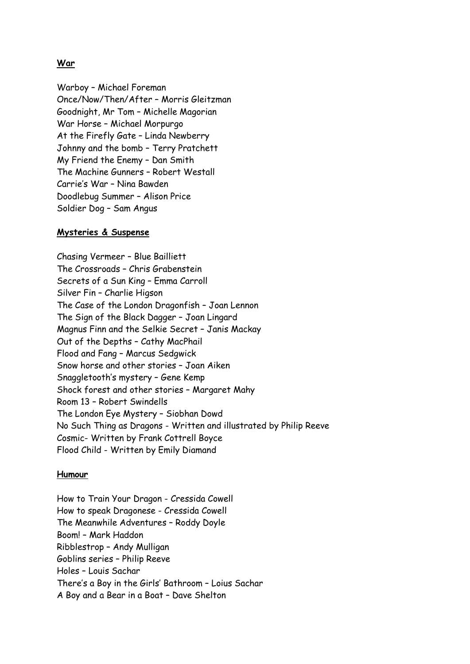## War

Warboy – Michael Foreman Once/Now/Then/After – Morris Gleitzman Goodnight, Mr Tom – Michelle Magorian War Horse – Michael Morpurgo At the Firefly Gate – Linda Newberry Johnny and the bomb – Terry Pratchett My Friend the Enemy – Dan Smith The Machine Gunners – Robert Westall Carrie's War – Nina Bawden Doodlebug Summer – Alison Price Soldier Dog – Sam Angus

#### Mysteries & Suspense

Chasing Vermeer – Blue Bailliett The Crossroads – Chris Grabenstein Secrets of a Sun King – Emma Carroll Silver Fin – Charlie Higson The Case of the London Dragonfish – Joan Lennon The Sign of the Black Dagger – Joan Lingard Magnus Finn and the Selkie Secret – Janis Mackay Out of the Depths – Cathy MacPhail Flood and Fang – Marcus Sedgwick Snow horse and other stories – Joan Aiken Snaggletooth's mystery – Gene Kemp Shock forest and other stories – Margaret Mahy Room 13 – Robert Swindells The London Eye Mystery – Siobhan Dowd No Such Thing as Dragons - Written and illustrated by Philip Reeve Cosmic- Written by Frank Cottrell Boyce Flood Child - Written by Emily Diamand

#### Humour

How to Train Your Dragon - Cressida Cowell How to speak Dragonese - Cressida Cowell The Meanwhile Adventures – Roddy Doyle Boom! – Mark Haddon Ribblestrop – Andy Mulligan Goblins series – Philip Reeve Holes – Louis Sachar There's a Boy in the Girls' Bathroom – Loius Sachar A Boy and a Bear in a Boat – Dave Shelton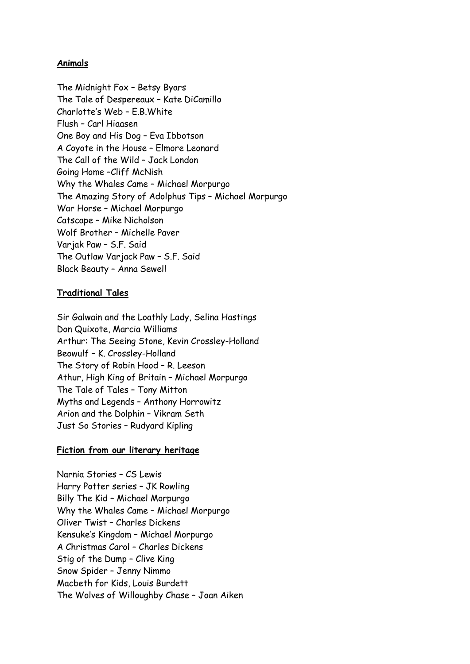## Animals

The Midnight Fox – Betsy Byars The Tale of Despereaux – Kate DiCamillo Charlotte's Web – E.B.White Flush – Carl Hiaasen One Boy and His Dog – Eva Ibbotson A Coyote in the House – Elmore Leonard The Call of the Wild – Jack London Going Home –Cliff McNish Why the Whales Came – Michael Morpurgo The Amazing Story of Adolphus Tips – Michael Morpurgo War Horse – Michael Morpurgo Catscape – Mike Nicholson Wolf Brother – Michelle Paver Varjak Paw – S.F. Said The Outlaw Varjack Paw – S.F. Said Black Beauty – Anna Sewell

## Traditional Tales

Sir Galwain and the Loathly Lady, Selina Hastings Don Quixote, Marcia Williams Arthur: The Seeing Stone, Kevin Crossley-Holland Beowulf – K. Crossley-Holland The Story of Robin Hood – R. Leeson Athur, High King of Britain – Michael Morpurgo The Tale of Tales – Tony Mitton Myths and Legends – Anthony Horrowitz Arion and the Dolphin – Vikram Seth Just So Stories – Rudyard Kipling

# Fiction from our literary heritage

Narnia Stories – CS Lewis Harry Potter series – JK Rowling Billy The Kid – Michael Morpurgo Why the Whales Came – Michael Morpurgo Oliver Twist – Charles Dickens Kensuke's Kingdom – Michael Morpurgo A Christmas Carol – Charles Dickens Stig of the Dump – Clive King Snow Spider – Jenny Nimmo Macbeth for Kids, Louis Burdett The Wolves of Willoughby Chase – Joan Aiken